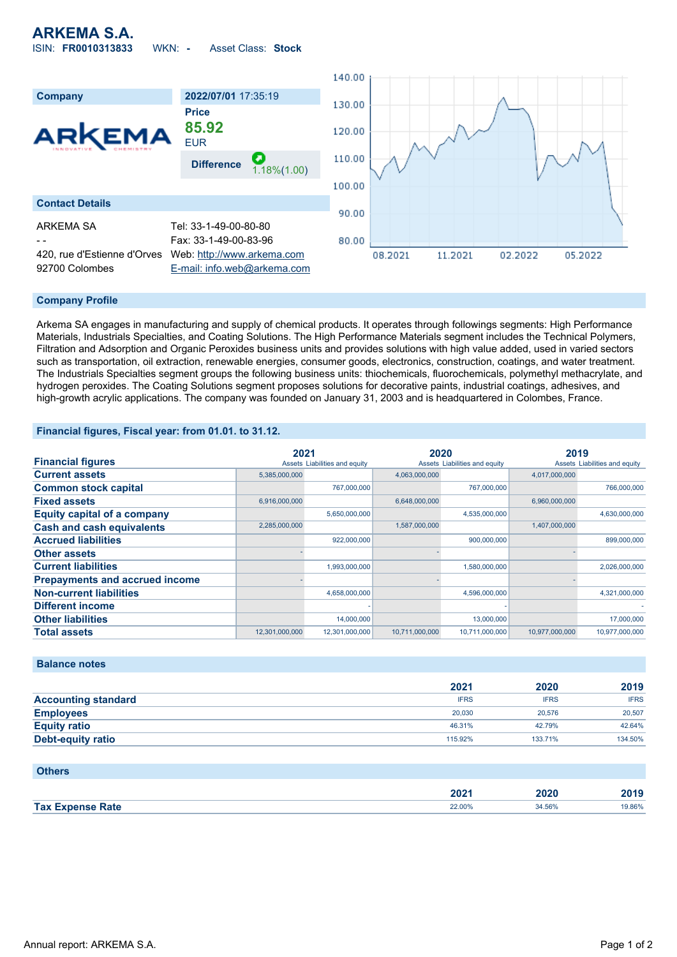## **ARKEMA S.A.** ISIN: **FR0010313833** WKN: **-** Asset Class: **Stock**



### **Company Profile**

Arkema SA engages in manufacturing and supply of chemical products. It operates through followings segments: High Performance Materials, Industrials Specialties, and Coating Solutions. The High Performance Materials segment includes the Technical Polymers, Filtration and Adsorption and Organic Peroxides business units and provides solutions with high value added, used in varied sectors such as transportation, oil extraction, renewable energies, consumer goods, electronics, construction, coatings, and water treatment. The Industrials Specialties segment groups the following business units: thiochemicals, fluorochemicals, polymethyl methacrylate, and hydrogen peroxides. The Coating Solutions segment proposes solutions for decorative paints, industrial coatings, adhesives, and high-growth acrylic applications. The company was founded on January 31, 2003 and is headquartered in Colombes, France.

### **Financial figures, Fiscal year: from 01.01. to 31.12.**

|                                       | 2021           |                               | 2020           |                               | 2019           |                               |
|---------------------------------------|----------------|-------------------------------|----------------|-------------------------------|----------------|-------------------------------|
| <b>Financial figures</b>              |                | Assets Liabilities and equity |                | Assets Liabilities and equity |                | Assets Liabilities and equity |
| <b>Current assets</b>                 | 5,385,000,000  |                               | 4,063,000,000  |                               | 4,017,000,000  |                               |
| <b>Common stock capital</b>           |                | 767.000.000                   |                | 767,000,000                   |                | 766,000,000                   |
| <b>Fixed assets</b>                   | 6,916,000,000  |                               | 6,648,000,000  |                               | 6,960,000,000  |                               |
| <b>Equity capital of a company</b>    |                | 5,650,000,000                 |                | 4,535,000,000                 |                | 4,630,000,000                 |
| <b>Cash and cash equivalents</b>      | 2,285,000,000  |                               | 1,587,000,000  |                               | 1,407,000,000  |                               |
| <b>Accrued liabilities</b>            |                | 922.000.000                   |                | 900,000,000                   |                | 899,000,000                   |
| <b>Other assets</b>                   |                |                               |                |                               |                |                               |
| <b>Current liabilities</b>            |                | 1,993,000,000                 |                | 1,580,000,000                 |                | 2,026,000,000                 |
| <b>Prepayments and accrued income</b> |                |                               |                |                               |                |                               |
| <b>Non-current liabilities</b>        |                | 4,658,000,000                 |                | 4,596,000,000                 |                | 4,321,000,000                 |
| <b>Different income</b>               |                |                               |                |                               |                |                               |
| <b>Other liabilities</b>              |                | 14,000,000                    |                | 13,000,000                    |                | 17,000,000                    |
| <b>Total assets</b>                   | 12,301,000,000 | 12.301.000.000                | 10.711.000.000 | 10,711,000,000                | 10.977.000.000 | 10.977.000.000                |

#### **Balance notes**

|                            | 2021        | 2020        | 2019        |
|----------------------------|-------------|-------------|-------------|
| <b>Accounting standard</b> | <b>IFRS</b> | <b>IFRS</b> | <b>IFRS</b> |
| <b>Employees</b>           | 20,030      | 20.576      | 20,507      |
| <b>Equity ratio</b>        | 46.31%      | 42.79%      | 42.64%      |
| <b>Debt-equity ratio</b>   | 115.92%     | 133.71%     | 134.50%     |

| <b>Others</b>           |        |        |        |
|-------------------------|--------|--------|--------|
|                         | 2021   | 2020   | 2019   |
| <b>Tax Expense Rate</b> | 22.00% | 34.56% | 19.86% |